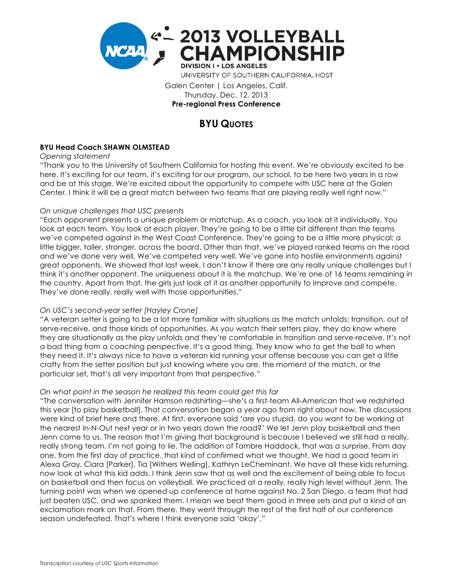

Galen Center | Los Angeles, Calif. Thursday, Dec. 12, 2013 **Pre-regional Press Conference**

# **BYU QUOTES**

## **BYU Head Coach SHAWN OLMSTEAD**

*Opening statement*

"Thank you to the University of Southern California for hosting this event. We're obviously excited to be here. It's exciting for our team, it's exciting for our program, our school, to be here two years in a row and be at this stage. We're excited about the opportunity to compete with USC here at the Galen Center. I think it will be a great match between two teams that are playing really well right now."

### *On unique challenges that USC presents*

"Each opponent presents a unique problem or matchup. As a coach, you look at it individually. You look at each team. You look at each player. They're going to be a little bit different than the teams we've competed against in the West Coast Conference. They're going to be a little more physical; a little bigger, taller, stronger, across the board. Other than that, we've played ranked teams on the road and we've done very well. We've competed very well. We've gone into hostile environments against great opponents. We showed that last week. I don't know if there are any really unique challenges but I think it's another opponent. The uniqueness about it is the matchup. We're one of 16 teams remaining in the country. Apart from that, the girls just look at it as another opportunity to improve and compete. They've done really, really well with those opportunities."

## *On USC's second-year setter [Hayley Crone]*

"A veteran setter is going to be a lot more familiar with situations as the match unfolds; transition, out of serve-receive, and those kinds of opportunities. As you watch their setters play, they do know where they are situationally as the play unfolds and they're comfortable in transition and serve-receive. It's not a bad thing from a coaching perspective. It's a good thing. They know who to get the ball to when they need it. It's always nice to have a veteran kid running your offense because you can get a little crafty from the setter position but just knowing where you are, the moment of the match, or the particular set, that's all very important from that perspective."

## *On what point in the season he realized this team could get this far*

"The conversation with Jennifer Hamson redshirting—she's a first-team All-American that we redshirted this year [to play basketball]. That conversation began a year ago from right about now. The discussions were kind of brief here and there. At first, everyone said 'are you stupid, do you want to be working at the nearest In-N-Out next year or in two years down the road?' We let Jenn play basketball and then Jenn came to us. The reason that I'm giving that background is because I believed we still had a really, really strong team. I'm not going to lie. The addition of Tambre Haddock, that was a surprise. From day one, from the first day of practice, that kind of confirmed what we thought. We had a good team in Alexa Gray, Ciara [Parker], Tia [Withers Welling], Kathryn LeCheminant. We have all these kids returning, now look at what this kid adds. I think Jenn saw that as well and the excitement of being able to focus on basketball and then focus on volleyball. We practiced at a really, really high level without Jenn. The turning point was when we opened up conference at home against No. 2 San Diego, a team that had just beaten USC, and we spanked them. I mean we beat them good in three sets and put a kind of an exclamation mark on that. From there, they went through the rest of the first half of our conference season undefeated. That's where I think everyone said 'okay'."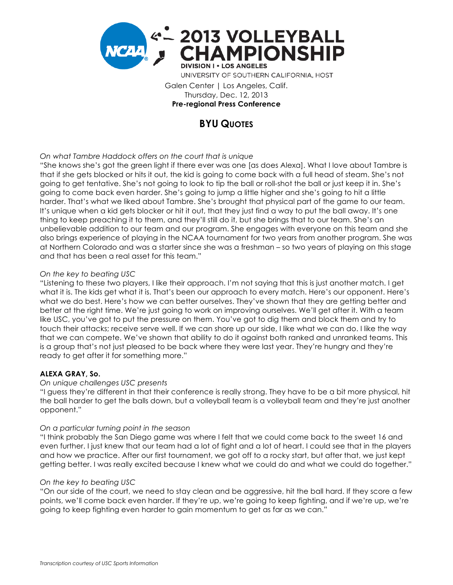

Galen Center | Los Angeles, Calif. Thursday, Dec. 12, 2013 **Pre-regional Press Conference**

# **BYU QUOTES**

### *On what Tambre Haddock offers on the court that is unique*

"She knows she's got the green light if there ever was one [as does Alexa]. What I love about Tambre is that if she gets blocked or hits it out, the kid is going to come back with a full head of steam. She's not going to get tentative. She's not going to look to tip the ball or roll-shot the ball or just keep it in. She's going to come back even harder. She's going to jump a little higher and she's going to hit a little harder. That's what we liked about Tambre. She's brought that physical part of the game to our team. It's unique when a kid gets blocker or hit it out, that they just find a way to put the ball away. It's one thing to keep preaching it to them, and they'll still do it, but she brings that to our team. She's an unbelievable addition to our team and our program. She engages with everyone on this team and she also brings experience of playing in the NCAA tournament for two years from another program. She was at Northern Colorado and was a starter since she was a freshman – so two years of playing on this stage and that has been a real asset for this team."

#### *On the key to beating USC*

"Listening to these two players, I like their approach. I'm not saying that this is just another match. I get what it is. The kids get what it is. That's been our approach to every match. Here's our opponent. Here's what we do best. Here's how we can better ourselves. They've shown that they are getting better and better at the right time. We're just going to work on improving ourselves. We'll get after it. With a team like USC, you've got to put the pressure on them. You've got to dig them and block them and try to touch their attacks; receive serve well. If we can shore up our side, I like what we can do. I like the way that we can compete. We've shown that ability to do it against both ranked and unranked teams. This is a group that's not just pleased to be back where they were last year. They're hungry and they're ready to get after it for something more."

#### **ALEXA GRAY, So.**

#### *On unique challenges USC presents*

"I guess they're different in that their conference is really strong. They have to be a bit more physical, hit the ball harder to get the balls down, but a volleyball team is a volleyball team and they're just another opponent."

#### *On a particular turning point in the season*

"I think probably the San Diego game was where I felt that we could come back to the sweet 16 and even further. I just knew that our team had a lot of fight and a lot of heart. I could see that in the players and how we practice. After our first tournament, we got off to a rocky start, but after that, we just kept getting better. I was really excited because I knew what we could do and what we could do together."

#### *On the key to beating USC*

"On our side of the court, we need to stay clean and be aggressive, hit the ball hard. If they score a few points, we'll come back even harder. If they're up, we're going to keep fighting, and if we're up, we're going to keep fighting even harder to gain momentum to get as far as we can."